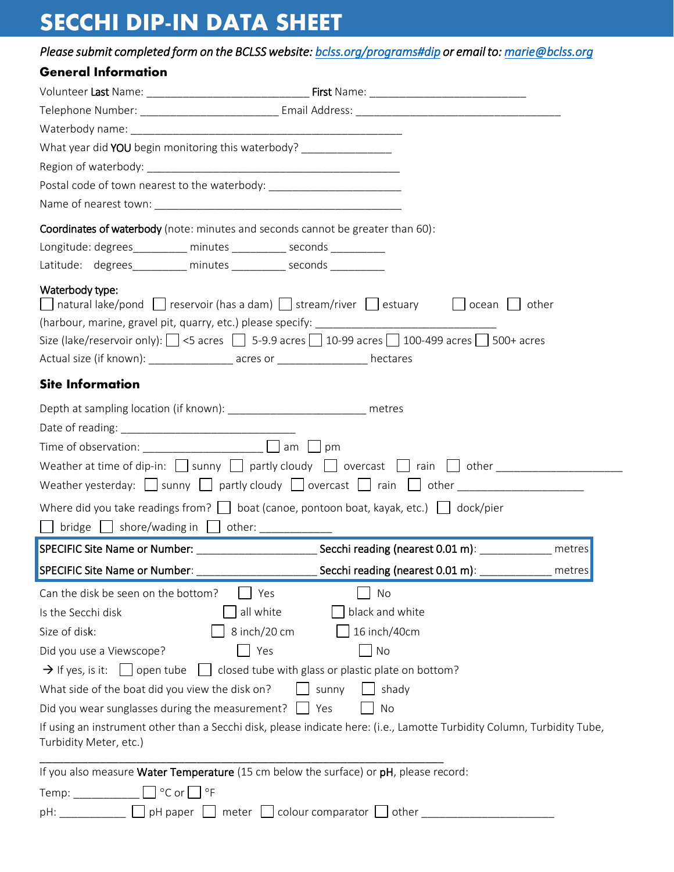## **SECCHI DIP-IN DATA SHEET**

|                                                                                                         | Please submit completed form on the BCLSS website: bclss.org/programs#dip or email to: marie@bclss.org                    |
|---------------------------------------------------------------------------------------------------------|---------------------------------------------------------------------------------------------------------------------------|
| <b>General Information</b>                                                                              |                                                                                                                           |
|                                                                                                         |                                                                                                                           |
|                                                                                                         |                                                                                                                           |
|                                                                                                         |                                                                                                                           |
| What year did YOU begin monitoring this waterbody? ________________                                     |                                                                                                                           |
|                                                                                                         |                                                                                                                           |
| Postal code of town nearest to the waterbody: __________________________________                        |                                                                                                                           |
|                                                                                                         |                                                                                                                           |
| Coordinates of waterbody (note: minutes and seconds cannot be greater than 60):                         |                                                                                                                           |
| Longitude: degrees_________ minutes _________ seconds ________                                          |                                                                                                                           |
| Latitude: degrees_________ minutes __________ seconds __________                                        |                                                                                                                           |
| Waterbody type:                                                                                         |                                                                                                                           |
|                                                                                                         | $\Box$ natural lake/pond $\Box$ reservoir (has a dam) $\Box$ stream/river $\Box$ estuary $\Box$ $\Box$ ocean $\Box$ other |
|                                                                                                         |                                                                                                                           |
|                                                                                                         | Size (lake/reservoir only): $\Box$ <5 acres $\Box$ 5-9.9 acres $\Box$ 10-99 acres $\Box$ 100-499 acres $\Box$ 500+ acres  |
| Actual size (if known): __________________ acres or _________________ hectares                          |                                                                                                                           |
| <b>Site Information</b>                                                                                 |                                                                                                                           |
| Depth at sampling location (if known): ___________________________ metres                               |                                                                                                                           |
|                                                                                                         |                                                                                                                           |
|                                                                                                         |                                                                                                                           |
|                                                                                                         | Weather at time of dip-in: $\Box$ sunny $\Box$ partly cloudy $\Box$ overcast $\Box$ rain $\Box$ other                     |
|                                                                                                         |                                                                                                                           |
|                                                                                                         |                                                                                                                           |
| $\Box$ bridge $\Box$ shore/wading in $\Box$ other:                                                      | Where did you take readings from? $\Box$ boat (canoe, pontoon boat, kayak, etc.) $\Box$ dock/pier                         |
|                                                                                                         | Secchi reading (nearest 0.01 m): __________<br>metres                                                                     |
| SPECIFIC Site Name or Number:                                                                           | Secchi reading (nearest 0.01 m): __________<br>metres                                                                     |
| Can the disk be seen on the bottom?                                                                     | No<br>Yes                                                                                                                 |
| Is the Secchi disk                                                                                      | all white<br>black and white                                                                                              |
| Size of disk:                                                                                           | 8 inch/20 cm<br>16 inch/40cm                                                                                              |
| Did you use a Viewscope?                                                                                | Yes<br>No                                                                                                                 |
| $\rightarrow$ If yes, is it: $\Box$ open tube $\Box$ closed tube with glass or plastic plate on bottom? |                                                                                                                           |
| What side of the boat did you view the disk on?                                                         | sunny<br>shady                                                                                                            |
| Did you wear sunglasses during the measurement? $\Box$ Yes                                              | No                                                                                                                        |
|                                                                                                         | If using an instrument other than a Secchi disk, please indicate here: (i.e., Lamotte Turbidity Column, Turbidity Tube,   |
| Turbidity Meter, etc.)                                                                                  |                                                                                                                           |
|                                                                                                         |                                                                                                                           |
| If you also measure Water Temperature (15 cm below the surface) or pH, please record:                   |                                                                                                                           |
| Temp: $\Box$ $\circ$ C or $\Box$ $\circ$ F                                                              |                                                                                                                           |
|                                                                                                         | pH: ___________     pH paper     meter     colour comparator     other ______________________                             |
|                                                                                                         |                                                                                                                           |